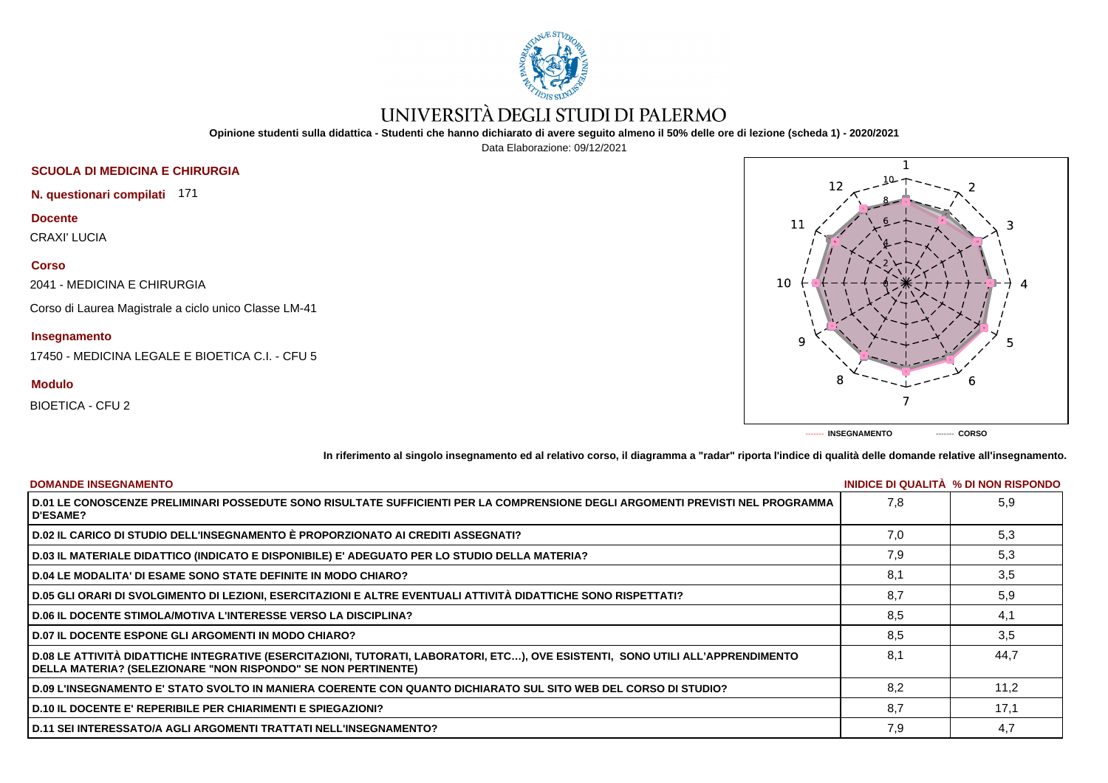

# UNIVERSITÀ DEGLI STUDI DI PALERMO

**Opinione studenti sulla didattica - Studenti che hanno dichiarato di avere seguito almeno il 50% delle ore di lezione (scheda 1) - 2020/2021**

Data Elaborazione: 09/12/2021

# **SCUOLA DI MEDICINA E CHIRURGIA**

**N. questionari compilati** 171

## **Docente**

CRAXI' LUCIA

#### **Corso**

2041 - MEDICINA E CHIRURGIA

Corso di Laurea Magistrale a ciclo unico Classe LM-41

### **Insegnamento**

17450 - MEDICINA LEGALE E BIOETICA C.I. - CFU 5

### **Modulo**

BIOETICA - CFU 2



**In riferimento al singolo insegnamento ed al relativo corso, il diagramma a "radar" riporta l'indice di qualità delle domande relative all'insegnamento.**

| <b>DOMANDE INSEGNAMENTO</b>                                                                                                                                                                               |     | INIDICE DI QUALITA % DI NON RISPONDO |
|-----------------------------------------------------------------------------------------------------------------------------------------------------------------------------------------------------------|-----|--------------------------------------|
| D.01 LE CONOSCENZE PRELIMINARI POSSEDUTE SONO RISULTATE SUFFICIENTI PER LA COMPRENSIONE DEGLI ARGOMENTI PREVISTI NEL PROGRAMMA<br><b>D'ESAME?</b>                                                         | 7.8 | 5.9                                  |
| D.02 IL CARICO DI STUDIO DELL'INSEGNAMENTO È PROPORZIONATO AI CREDITI ASSEGNATI?                                                                                                                          | 7.0 | 5,3                                  |
| D.03 IL MATERIALE DIDATTICO (INDICATO E DISPONIBILE) E' ADEGUATO PER LO STUDIO DELLA MATERIA?                                                                                                             | 7.9 | 5,3                                  |
| D.04 LE MODALITA' DI ESAME SONO STATE DEFINITE IN MODO CHIARO?                                                                                                                                            | 8,1 | 3,5                                  |
| D.05 GLI ORARI DI SVOLGIMENTO DI LEZIONI, ESERCITAZIONI E ALTRE EVENTUALI ATTIVITÀ DIDATTICHE SONO RISPETTATI?                                                                                            | 8.7 | 5,9                                  |
| <b>D.06 IL DOCENTE STIMOLA/MOTIVA L'INTERESSE VERSO LA DISCIPLINA?</b>                                                                                                                                    | 8,5 | 4,1                                  |
| <b>D.07 IL DOCENTE ESPONE GLI ARGOMENTI IN MODO CHIARO?</b>                                                                                                                                               | 8.5 | 3,5                                  |
| D.08 LE ATTIVITÀ DIDATTICHE INTEGRATIVE (ESERCITAZIONI, TUTORATI, LABORATORI, ETC…), OVE ESISTENTI,  SONO UTILI ALL'APPRENDIMENTO<br><b>DELLA MATERIA? (SELEZIONARE "NON RISPONDO" SE NON PERTINENTE)</b> | 8.1 | 44.7                                 |
| D.09 L'INSEGNAMENTO E' STATO SVOLTO IN MANIERA COERENTE CON QUANTO DICHIARATO SUL SITO WEB DEL CORSO DI STUDIO?                                                                                           | 8.2 | 11.2                                 |
| <b>D.10 IL DOCENTE E' REPERIBILE PER CHIARIMENTI E SPIEGAZIONI?</b>                                                                                                                                       | 8.7 | 17,1                                 |
| D.11 SEI INTERESSATO/A AGLI ARGOMENTI TRATTATI NELL'INSEGNAMENTO?                                                                                                                                         | 7,9 | 4,7                                  |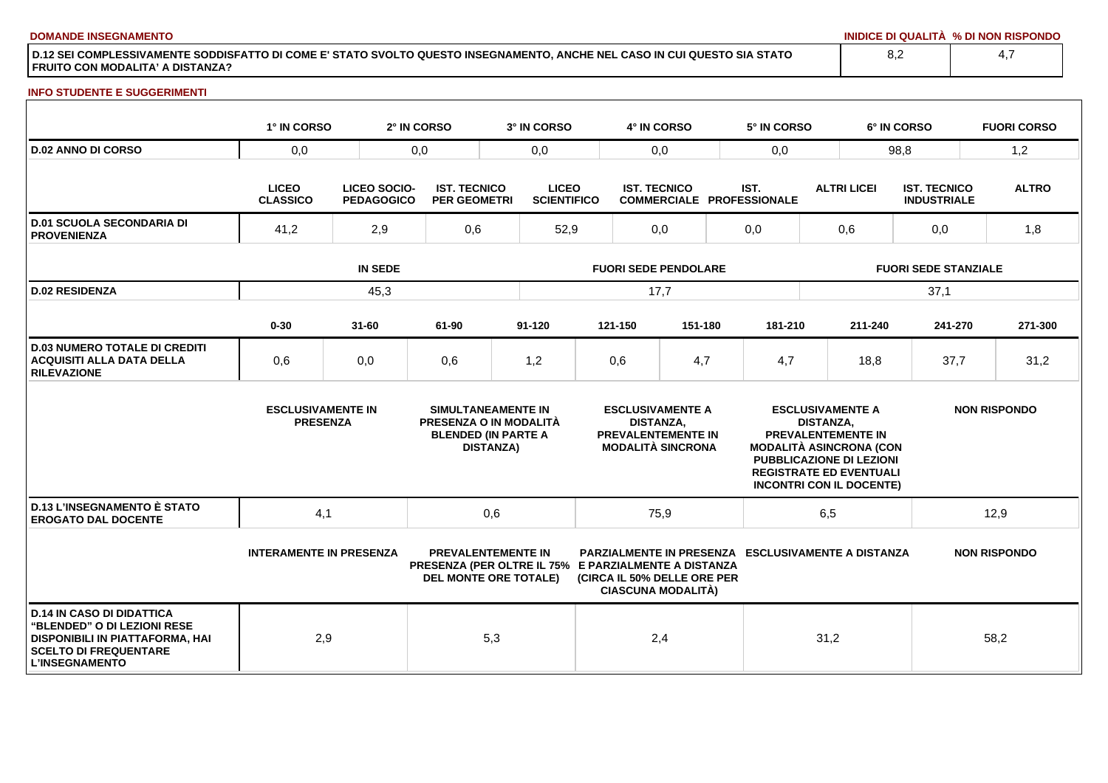**DOMANDE INSEGNAMENTO INIDICE DI QUALITÀ % DI NON RISPONDO**

**D.12 SEI COMPLESSIVAMENTE SODDISFATTO DI COME E' STATO SVOLTO QUESTO INSEGNAMENTO, ANCHE NEL CASO IN CUI QUESTO SIA STATO FRUITO CON MODALITA' A DISTANZA?**

#### **INFO STUDENTE E SUGGERIMENTI**

|                                                                                                                                                                    | 1° IN CORSO                                 |                                   | 2° IN CORSO                                | 3° IN CORSO                                                                                                       |                                                                                                      | 4° IN CORSO         |                                                          | 5° IN CORSO                                                                                                                                                                                                 |                    | 6° IN CORSO                 |                                           | <b>FUORI CORSO</b>  |  |
|--------------------------------------------------------------------------------------------------------------------------------------------------------------------|---------------------------------------------|-----------------------------------|--------------------------------------------|-------------------------------------------------------------------------------------------------------------------|------------------------------------------------------------------------------------------------------|---------------------|----------------------------------------------------------|-------------------------------------------------------------------------------------------------------------------------------------------------------------------------------------------------------------|--------------------|-----------------------------|-------------------------------------------|---------------------|--|
| <b>D.02 ANNO DI CORSO</b>                                                                                                                                          | 0,0                                         |                                   | 0,0                                        |                                                                                                                   | 0,0<br>0,0                                                                                           |                     | 0,0                                                      | 98,8                                                                                                                                                                                                        |                    |                             | 1,2                                       |                     |  |
|                                                                                                                                                                    | <b>LICEO</b><br><b>CLASSICO</b>             | LICEO SOCIO-<br><b>PEDAGOGICO</b> | <b>IST. TECNICO</b><br><b>PER GEOMETRI</b> | <b>LICEO</b><br><b>SCIENTIFICO</b>                                                                                |                                                                                                      | <b>IST. TECNICO</b> |                                                          | IST.<br><b>COMMERCIALE PROFESSIONALE</b>                                                                                                                                                                    | <b>ALTRI LICEI</b> |                             | <b>IST. TECNICO</b><br><b>INDUSTRIALE</b> | <b>ALTRO</b>        |  |
| <b>D.01 SCUOLA SECONDARIA DI</b><br><b>PROVENIENZA</b>                                                                                                             | 41,2                                        | 2,9                               | 0,6                                        |                                                                                                                   | 52,9                                                                                                 | 0,0                 |                                                          | 0,0                                                                                                                                                                                                         | 0,6                |                             | 0,0                                       | 1,8                 |  |
|                                                                                                                                                                    | <b>IN SEDE</b>                              |                                   |                                            |                                                                                                                   | <b>FUORI SEDE PENDOLARE</b>                                                                          |                     |                                                          |                                                                                                                                                                                                             |                    | <b>FUORI SEDE STANZIALE</b> |                                           |                     |  |
| <b>D.02 RESIDENZA</b>                                                                                                                                              | 45,3                                        |                                   |                                            |                                                                                                                   | 17,7                                                                                                 |                     |                                                          |                                                                                                                                                                                                             |                    |                             | 37,1                                      |                     |  |
|                                                                                                                                                                    | $0 - 30$                                    | $31 - 60$                         | 61-90                                      | $91 - 120$                                                                                                        |                                                                                                      | 121-150             | 151-180                                                  | 181-210                                                                                                                                                                                                     | 211-240            |                             | 241-270                                   | 271-300             |  |
| <b>D.03 NUMERO TOTALE DI CREDITI</b><br><b>ACQUISITI ALLA DATA DELLA</b><br><b>RILEVAZIONE</b>                                                                     | 0,6                                         | 0,0                               | 0,6                                        | 1,2                                                                                                               |                                                                                                      | 0,6                 | 4,7                                                      | 4,7                                                                                                                                                                                                         | 18,8               |                             | 37,7                                      | 31,2                |  |
|                                                                                                                                                                    | <b>ESCLUSIVAMENTE IN</b><br><b>PRESENZA</b> |                                   |                                            | SIMULTANEAMENTE IN<br>PRESENZA O IN MODALITÀ<br><b>BLENDED (IN PARTE A</b><br><b>DISTANZA)</b>                    | <b>ESCLUSIVAMENTE A</b><br><b>DISTANZA.</b><br><b>PREVALENTEMENTE IN</b><br><b>MODALITÀ SINCRONA</b> |                     |                                                          | <b>ESCLUSIVAMENTE A</b><br><b>DISTANZA.</b><br><b>PREVALENTEMENTE IN</b><br><b>MODALITÀ ASINCRONA (CON</b><br>PUBBLICAZIONE DI LEZIONI<br><b>REGISTRATE ED EVENTUALI</b><br><b>INCONTRI CON IL DOCENTE)</b> |                    | <b>NON RISPONDO</b>         |                                           |                     |  |
| <b>D.13 L'INSEGNAMENTO È STATO</b><br><b>EROGATO DAL DOCENTE</b>                                                                                                   | 4,1                                         |                                   |                                            | 0,6<br>75,9                                                                                                       |                                                                                                      | 6,5                 |                                                          | 12,9                                                                                                                                                                                                        |                    |                             |                                           |                     |  |
|                                                                                                                                                                    | <b>INTERAMENTE IN PRESENZA</b>              |                                   |                                            | <b>PREVALENTEMENTE IN</b><br>PRESENZA (PER OLTRE IL 75% E PARZIALMENTE A DISTANZA<br><b>DEL MONTE ORE TOTALE)</b> |                                                                                                      |                     | (CIRCA IL 50% DELLE ORE PER<br><b>CIASCUNA MODALITÀ)</b> | <b>PARZIALMENTE IN PRESENZA ESCLUSIVAMENTE A DISTANZA</b>                                                                                                                                                   |                    |                             |                                           | <b>NON RISPONDO</b> |  |
| <b>D.14 IN CASO DI DIDATTICA</b><br>"BLENDED" O DI LEZIONI RESE<br><b>DISPONIBILI IN PIATTAFORMA, HAI</b><br><b>SCELTO DI FREQUENTARE</b><br><b>L'INSEGNAMENTO</b> | 2,9                                         |                                   |                                            | 5,3                                                                                                               |                                                                                                      | 2,4                 |                                                          |                                                                                                                                                                                                             | 31,2               |                             |                                           | 58,2                |  |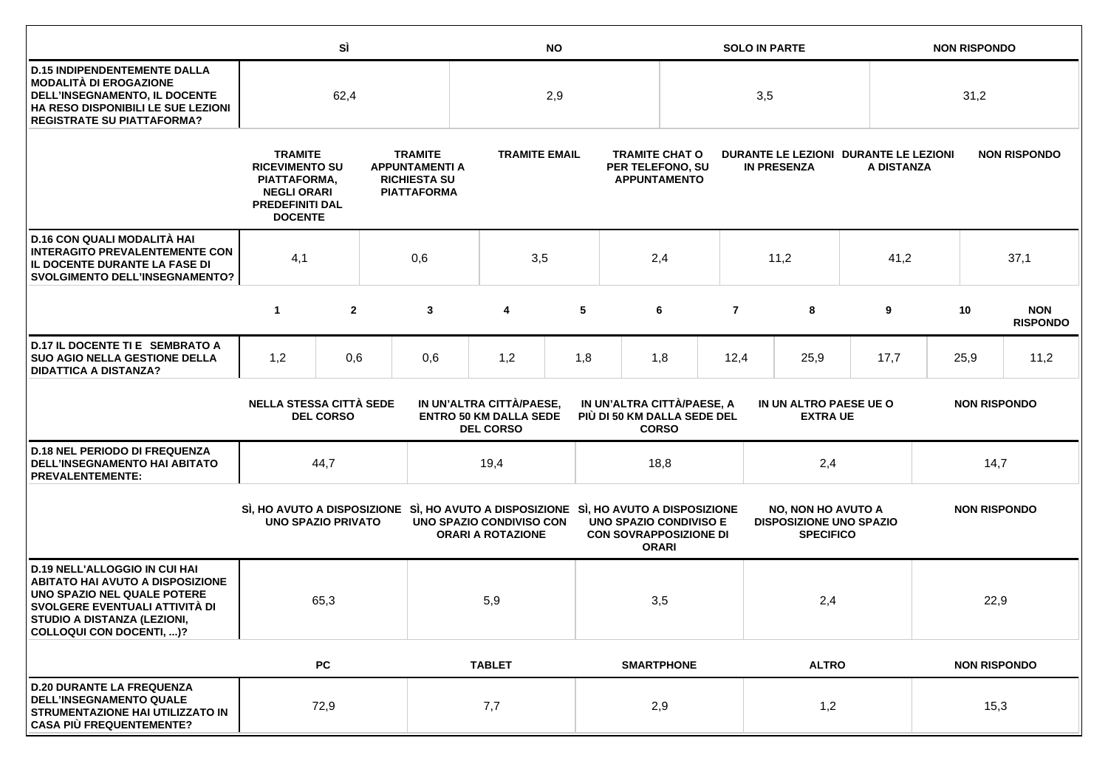|                                                                                                                                                                                                                    |                                                                                                                           | SÌ               |  | <b>NO</b>                                                                                                       |                          |                                                                                                                                                                                     |                   | <b>SOLO IN PARTE</b>                                                           |                                                             |                                                                                 |      | <b>NON RISPONDO</b> |      |                     |                               |
|--------------------------------------------------------------------------------------------------------------------------------------------------------------------------------------------------------------------|---------------------------------------------------------------------------------------------------------------------------|------------------|--|-----------------------------------------------------------------------------------------------------------------|--------------------------|-------------------------------------------------------------------------------------------------------------------------------------------------------------------------------------|-------------------|--------------------------------------------------------------------------------|-------------------------------------------------------------|---------------------------------------------------------------------------------|------|---------------------|------|---------------------|-------------------------------|
| <b>D.15 INDIPENDENTEMENTE DALLA</b><br><b>MODALITÀ DI EROGAZIONE</b><br>DELL'INSEGNAMENTO, IL DOCENTE<br>HA RESO DISPONIBILI LE SUE LEZIONI<br><b>REGISTRATE SU PIATTAFORMA?</b>                                   | 62,4                                                                                                                      |                  |  | 2,9                                                                                                             |                          |                                                                                                                                                                                     |                   | 3,5                                                                            |                                                             |                                                                                 |      | 31,2                |      |                     |                               |
|                                                                                                                                                                                                                    | <b>TRAMITE</b><br><b>RICEVIMENTO SU</b><br>PIATTAFORMA,<br><b>NEGLI ORARI</b><br><b>PREDEFINITI DAL</b><br><b>DOCENTE</b> |                  |  | <b>TRAMITE</b><br><b>APPUNTAMENTI A</b><br><b>RICHIESTA SU</b><br><b>PIATTAFORMA</b>                            |                          | <b>TRAMITE EMAIL</b>                                                                                                                                                                |                   | <b>TRAMITE CHAT O</b><br>PER TELEFONO, SU<br><b>APPUNTAMENTO</b>               | DURANTE LE LEZIONI DURANTE LE LEZIONI<br><b>IN PRESENZA</b> |                                                                                 |      | A DISTANZA          |      | <b>NON RISPONDO</b> |                               |
| D.16 CON QUALI MODALITÀ HAI<br><b>INTERAGITO PREVALENTEMENTE CON</b><br>IL DOCENTE DURANTE LA FASE DI<br><b>SVOLGIMENTO DELL'INSEGNAMENTO?</b>                                                                     | 4,1<br>0,6                                                                                                                |                  |  | 3,5                                                                                                             |                          | 2,4                                                                                                                                                                                 |                   |                                                                                | 11,2                                                        |                                                                                 | 41,2 | 37,1                |      |                     |                               |
|                                                                                                                                                                                                                    | $\mathbf{1}$                                                                                                              | $\overline{2}$   |  | 3                                                                                                               | 4                        | 5                                                                                                                                                                                   |                   | 6                                                                              | $\overline{7}$                                              |                                                                                 | 8    | 9                   |      | 10                  | <b>NON</b><br><b>RISPONDO</b> |
| D.17 IL DOCENTE TI E SEMBRATO A<br><b>SUO AGIO NELLA GESTIONE DELLA</b><br><b>DIDATTICA A DISTANZA?</b>                                                                                                            | 1,2                                                                                                                       | 0,6              |  | 0,6                                                                                                             | 1,2                      | 1,8                                                                                                                                                                                 |                   | 1,8                                                                            |                                                             | 12,4<br>25,9                                                                    |      | 17,7                | 25,9 |                     | 11,2                          |
|                                                                                                                                                                                                                    | <b>NELLA STESSA CITTÀ SEDE</b>                                                                                            | <b>DEL CORSO</b> |  |                                                                                                                 | <b>DEL CORSO</b>         | IN UN'ALTRA CITTÀ/PAESE,<br>IN UN'ALTRA CITTÀ/PAESE, A<br>IN UN ALTRO PAESE UE O<br><b>ENTRO 50 KM DALLA SEDE</b><br>PIÙ DI 50 KM DALLA SEDE DEL<br><b>EXTRA UE</b><br><b>CORSO</b> |                   |                                                                                |                                                             | <b>NON RISPONDO</b>                                                             |      |                     |      |                     |                               |
| <b>D.18 NEL PERIODO DI FREQUENZA</b><br><b>DELL'INSEGNAMENTO HAI ABITATO</b><br><b>PREVALENTEMENTE:</b>                                                                                                            |                                                                                                                           | 44,7             |  |                                                                                                                 | 19,4                     |                                                                                                                                                                                     |                   | 18,8                                                                           |                                                             | 2,4                                                                             |      | 14,7                |      |                     |                               |
|                                                                                                                                                                                                                    | <b>UNO SPAZIO PRIVATO</b>                                                                                                 |                  |  | SI, HO AVUTO A DISPOSIZIONE SI, HO AVUTO A DISPOSIZIONE SI, HO AVUTO A DISPOSIZIONE<br>UNO SPAZIO CONDIVISO CON | <b>ORARI A ROTAZIONE</b> |                                                                                                                                                                                     |                   | <b>UNO SPAZIO CONDIVISO E</b><br><b>CON SOVRAPPOSIZIONE DI</b><br><b>ORARI</b> |                                                             | <b>NO, NON HO AVUTO A</b><br><b>DISPOSIZIONE UNO SPAZIO</b><br><b>SPECIFICO</b> |      | <b>NON RISPONDO</b> |      |                     |                               |
| <b>D.19 NELL'ALLOGGIO IN CUI HAI</b><br><b>ABITATO HAI AVUTO A DISPOSIZIONE</b><br>UNO SPAZIO NEL QUALE POTERE<br>SVOLGERE EVENTUALI ATTIVITÀ DI<br>STUDIO A DISTANZA (LEZIONI,<br><b>COLLOQUI CON DOCENTI, )?</b> |                                                                                                                           | 65,3             |  |                                                                                                                 | 5,9                      |                                                                                                                                                                                     | 3,5               |                                                                                |                                                             | 2,4                                                                             |      |                     |      | 22,9                |                               |
|                                                                                                                                                                                                                    |                                                                                                                           | <b>PC</b>        |  |                                                                                                                 | <b>TABLET</b>            |                                                                                                                                                                                     | <b>SMARTPHONE</b> | <b>ALTRO</b>                                                                   |                                                             |                                                                                 |      | <b>NON RISPONDO</b> |      |                     |                               |
| <b>D.20 DURANTE LA FREQUENZA</b><br><b>DELL'INSEGNAMENTO QUALE</b><br>STRUMENTAZIONE HAI UTILIZZATO IN<br><b>CASA PIÙ FREQUENTEMENTE?</b>                                                                          |                                                                                                                           | 72,9             |  |                                                                                                                 | 7,7                      |                                                                                                                                                                                     |                   | 2,9                                                                            |                                                             | 1,2                                                                             |      | 15,3                |      |                     |                               |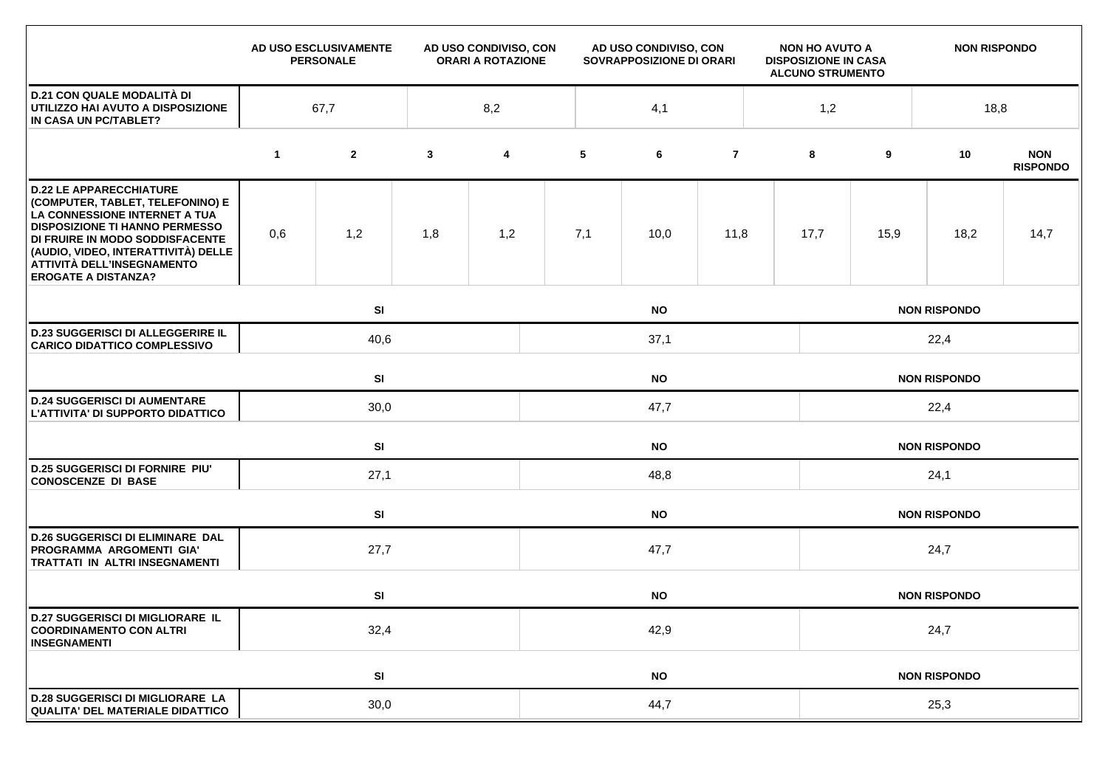|                                                                                                                                                                                                                                                                                    |             | AD USO ESCLUSIVAMENTE<br><b>PERSONALE</b> |              | AD USO CONDIVISO, CON<br><b>ORARI A ROTAZIONE</b> | AD USO CONDIVISO, CON<br>SOVRAPPOSIZIONE DI ORARI |           |                | <b>NON HO AVUTO A</b><br><b>DISPOSIZIONE IN CASA</b><br><b>ALCUNO STRUMENTO</b> |                     | <b>NON RISPONDO</b> |                     |                               |  |  |
|------------------------------------------------------------------------------------------------------------------------------------------------------------------------------------------------------------------------------------------------------------------------------------|-------------|-------------------------------------------|--------------|---------------------------------------------------|---------------------------------------------------|-----------|----------------|---------------------------------------------------------------------------------|---------------------|---------------------|---------------------|-------------------------------|--|--|
| <b>D.21 CON QUALE MODALITÀ DI</b><br>UTILIZZO HAI AVUTO A DISPOSIZIONE<br>IN CASA UN PC/TABLET?                                                                                                                                                                                    | 67,7        |                                           |              | 8,2                                               |                                                   | 4,1       |                |                                                                                 | 1,2                 |                     | 18,8                |                               |  |  |
|                                                                                                                                                                                                                                                                                    | $\mathbf 1$ | $\mathbf{2}$                              | $\mathbf{3}$ | $\overline{\mathbf{4}}$                           | 5                                                 | 6         | $\overline{7}$ |                                                                                 | 8                   | 9                   | 10                  | <b>NON</b><br><b>RISPONDO</b> |  |  |
| <b>D.22 LE APPARECCHIATURE</b><br>(COMPUTER, TABLET, TELEFONINO) E<br>LA CONNESSIONE INTERNET A TUA<br><b>DISPOSIZIONE TI HANNO PERMESSO</b><br>DI FRUIRE IN MODO SODDISFACENTE<br>(AUDIO, VIDEO, INTERATTIVITÀ) DELLE<br>ATTIVITÀ DELL'INSEGNAMENTO<br><b>EROGATE A DISTANZA?</b> | 0,6         | 1,2                                       | 1,8          | 1,2                                               | 7,1                                               | 10,0      | 11,8           |                                                                                 | 17,7                | 15,9                | 18,2                | 14,7                          |  |  |
|                                                                                                                                                                                                                                                                                    |             | SI<br><b>NO</b>                           |              |                                                   |                                                   |           |                |                                                                                 | <b>NON RISPONDO</b> |                     |                     |                               |  |  |
| <b>D.23 SUGGERISCI DI ALLEGGERIRE IL</b><br><b>CARICO DIDATTICO COMPLESSIVO</b>                                                                                                                                                                                                    |             | 40,6<br>37,1                              |              |                                                   |                                                   |           |                |                                                                                 | 22,4                |                     |                     |                               |  |  |
|                                                                                                                                                                                                                                                                                    |             | SI<br><b>NO</b>                           |              |                                                   |                                                   |           |                |                                                                                 | <b>NON RISPONDO</b> |                     |                     |                               |  |  |
| <b>D.24 SUGGERISCI DI AUMENTARE</b><br>L'ATTIVITA' DI SUPPORTO DIDATTICO                                                                                                                                                                                                           |             | 30,0                                      |              |                                                   | 47,7                                              |           |                |                                                                                 |                     | 22,4                |                     |                               |  |  |
|                                                                                                                                                                                                                                                                                    |             | SI                                        | <b>NO</b>    |                                                   |                                                   |           |                |                                                                                 | <b>NON RISPONDO</b> |                     |                     |                               |  |  |
| <b>D.25 SUGGERISCI DI FORNIRE PIU'</b><br><b>CONOSCENZE DI BASE</b>                                                                                                                                                                                                                |             | 27,1                                      |              |                                                   | 48,8                                              |           |                |                                                                                 |                     | 24,1                |                     |                               |  |  |
|                                                                                                                                                                                                                                                                                    |             | SI                                        |              | <b>NO</b>                                         |                                                   |           |                |                                                                                 |                     | <b>NON RISPONDO</b> |                     |                               |  |  |
| <b>D.26 SUGGERISCI DI ELIMINARE DAL</b><br>PROGRAMMA ARGOMENTI GIA'<br><b>TRATTATI IN ALTRI INSEGNAMENTI</b>                                                                                                                                                                       |             | 27,7<br>47,7                              |              |                                                   |                                                   |           |                |                                                                                 | 24,7                |                     |                     |                               |  |  |
|                                                                                                                                                                                                                                                                                    |             | SI                                        |              |                                                   |                                                   | <b>NO</b> |                |                                                                                 |                     |                     | <b>NON RISPONDO</b> |                               |  |  |
| <b>D.27 SUGGERISCI DI MIGLIORARE IL</b><br><b>COORDINAMENTO CON ALTRI</b><br><b>INSEGNAMENTI</b>                                                                                                                                                                                   |             | 32,4                                      |              |                                                   | 42,9                                              |           |                |                                                                                 |                     | 24,7                |                     |                               |  |  |
|                                                                                                                                                                                                                                                                                    |             | SI                                        | <b>NO</b>    |                                                   |                                                   |           |                |                                                                                 | <b>NON RISPONDO</b> |                     |                     |                               |  |  |
| <b>D.28 SUGGERISCI DI MIGLIORARE LA</b><br>QUALITA' DEL MATERIALE DIDATTICO                                                                                                                                                                                                        |             | 30,0                                      |              |                                                   |                                                   | 44,7      |                |                                                                                 |                     |                     | 25,3                |                               |  |  |